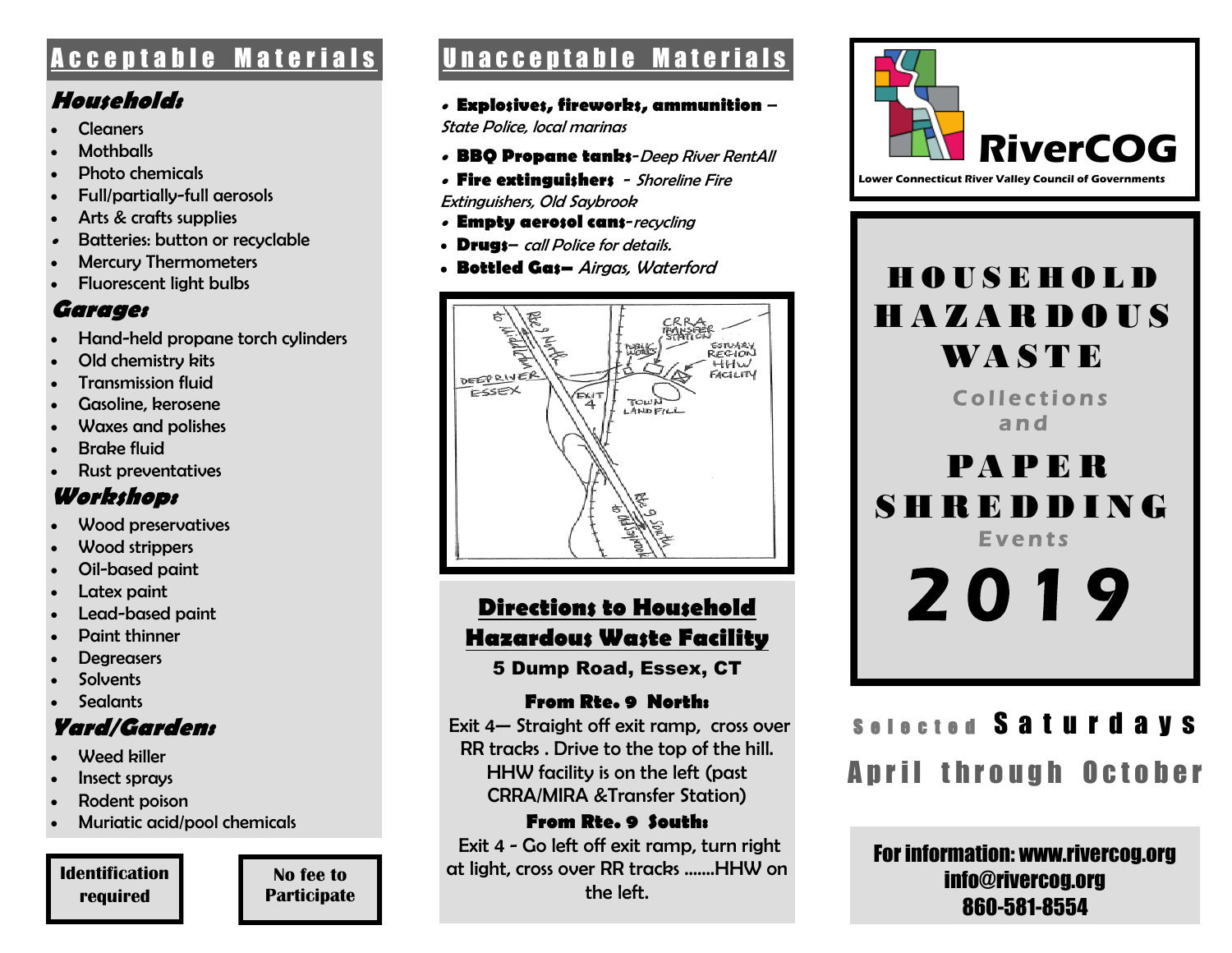#### **Household:**

- Cleaners
- **Mothballs**
- Photo chemicals
- Full/partially-full aerosols
- Arts & crafts supplies
- 0 Batteries: button or recyclable
- Mercury Thermometers
- Fluorescent light bulbs

#### **Garage:**

- Hand-held propane torch cylinders
- Old chemistry kits
- Transmission fluid
- Gasoline, kerosene
- Waxes and polishes
- Brake fluid
- Rust preventatives

## **Workshop:**

- Wood preservatives
- Wood strippers
- Oil-based paint
- Latex paint
- Lead-based paint
- Paint thinner
- **Degreasers**
- **Solvents**
- **Sealants**

# **Yard/Garden:**

- Weed biller
- Insect sprays
- Rodent poison
- Muriatic acid/pool chemicals

#### **Identification required**

**No fee to Participate**

# A c c e p t a b l e M a t e r i a l s U n a c c e p t a b l e M a t e r i a l s |

 **Explosives, fireworks, ammunition** –

State Police, local marinas

- **BBQ Propane tanks**-Deep River RentAll
- **Fire extinguishers**  Shoreline Fire

Extinguishers, Old Saybrook

- **Empty aerosol cans**-recycling
- **Drugs** call Police for details.
- **Bottled Gas–** Airgas, Waterford



# **Directions to Household Hazardous Waste Facility**

5 Dump Road, Essex, CT

#### **From Rte. 9 North:**

Exit 4— Straight off exit ramp, cross over RR tracks . Drive to the top of the hill. HHW facility is on the left (past CRRA/MIRA &Transfer Station)

#### **From Rte. 9 South:**

Exit 4 - Go left off exit ramp, turn right at light, cross over RR tracks …….HHW on the left.



# H O U S E H O L D H A Z A R D O U S WA S T E

Collections a n d

 PA P E R S H R E D D I N G **Events** 

2019

# Selected Saturdays April through October

For information: www.rivercog.org info@rivercog.org 860-581-8554